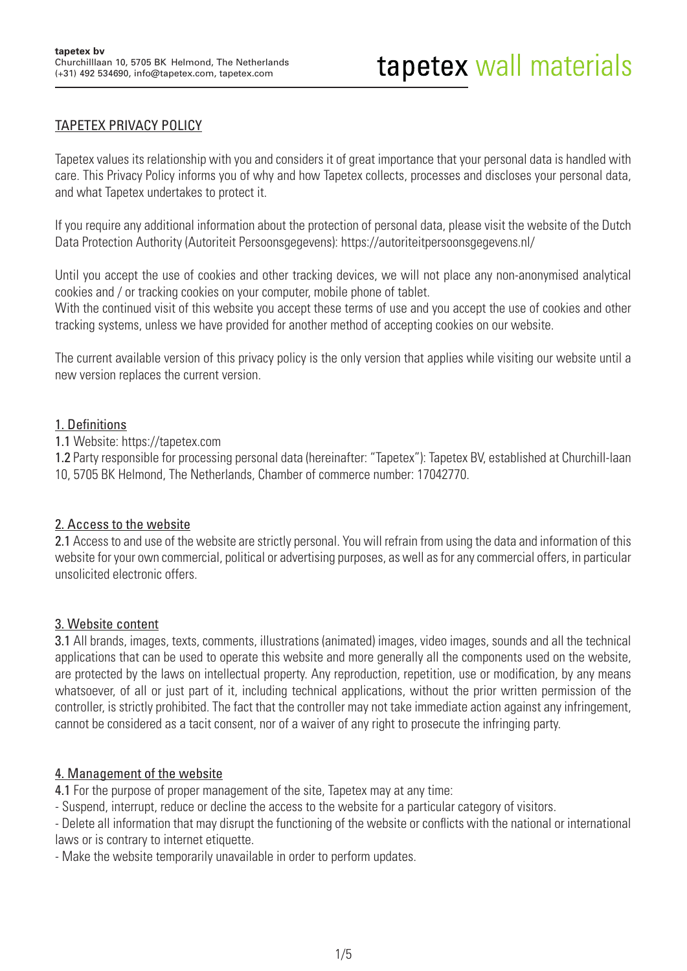# TAPETEX PRIVACY POLICY

Tapetex values its relationship with you and considers it of great importance that your personal data is handled with care. This Privacy Policy informs you of why and how Tapetex collects, processes and discloses your personal data, and what Tapetex undertakes to protect it.

If you require any additional information about the protection of personal data, please visit the website of the Dutch Data Protection Authority (Autoriteit Persoonsgegevens): https://autoriteitpersoonsgegevens.nl/

Until you accept the use of cookies and other tracking devices, we will not place any non-anonymised analytical cookies and / or tracking cookies on your computer, mobile phone of tablet.

With the continued visit of this website you accept these terms of use and you accept the use of cookies and other tracking systems, unless we have provided for another method of accepting cookies on our website.

The current available version of this privacy policy is the only version that applies while visiting our website until a new version replaces the current version.

### 1. Definitions

1.1 Website: https://tapetex.com

1.2 Party responsible for processing personal data (hereinafter: "Tapetex"): Tapetex BV, established at Churchill-laan 10, 5705 BK Helmond, The Netherlands, Chamber of commerce number: 17042770.

### 2. Access to the website

2.1 Access to and use of the website are strictly personal. You will refrain from using the data and information of this website for your own commercial, political or advertising purposes, as well as for any commercial offers, in particular unsolicited electronic offers.

### 3. Website content

3.1 All brands, images, texts, comments, illustrations (animated) images, video images, sounds and all the technical applications that can be used to operate this website and more generally all the components used on the website, are protected by the laws on intellectual property. Any reproduction, repetition, use or modification, by any means whatsoever, of all or just part of it, including technical applications, without the prior written permission of the controller, is strictly prohibited. The fact that the controller may not take immediate action against any infringement, cannot be considered as a tacit consent, nor of a waiver of any right to prosecute the infringing party.

### 4. Management of the website

4.1 For the purpose of proper management of the site, Tapetex may at any time:

- Suspend, interrupt, reduce or decline the access to the website for a particular category of visitors.

- Delete all information that may disrupt the functioning of the website or conflicts with the national or international laws or is contrary to internet etiquette.

- Make the website temporarily unavailable in order to perform updates.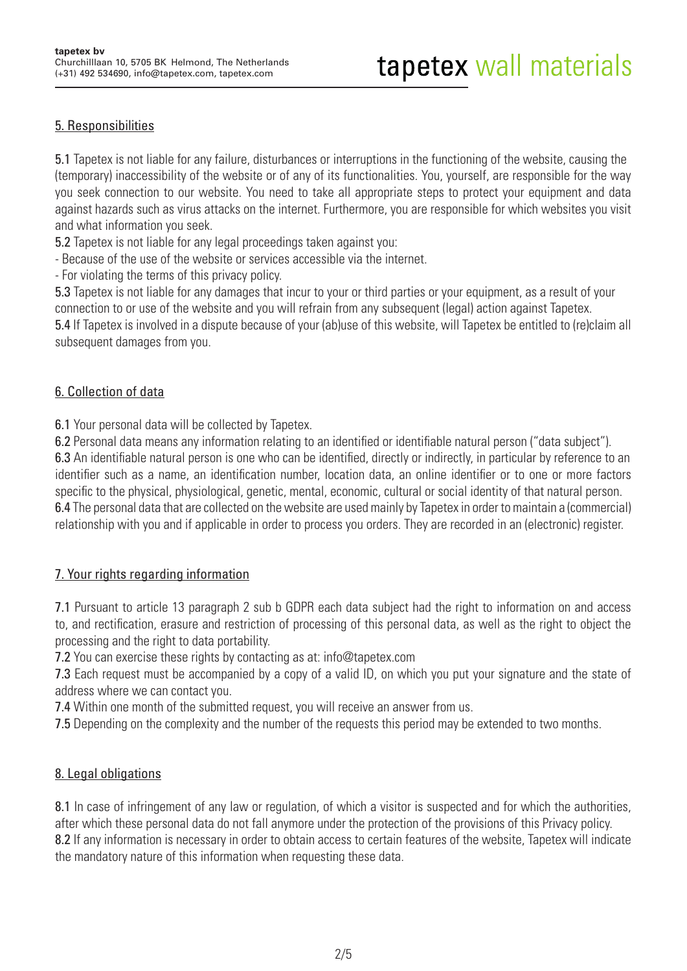# 5. Responsibilities

5.1 Tapetex is not liable for any failure, disturbances or interruptions in the functioning of the website, causing the (temporary) inaccessibility of the website or of any of its functionalities. You, yourself, are responsible for the way you seek connection to our website. You need to take all appropriate steps to protect your equipment and data against hazards such as virus attacks on the internet. Furthermore, you are responsible for which websites you visit and what information you seek.

5.2 Tapetex is not liable for any legal proceedings taken against you:

- Because of the use of the website or services accessible via the internet.

- For violating the terms of this privacy policy.

5.3 Tapetex is not liable for any damages that incur to your or third parties or your equipment, as a result of your connection to or use of the website and you will refrain from any subsequent (legal) action against Tapetex. 5.4 If Tapetex is involved in a dispute because of your (ab)use of this website, will Tapetex be entitled to (re)claim all subsequent damages from you.

### 6. Collection of data

6.1 Your personal data will be collected by Tapetex.

6.2 Personal data means any information relating to an identified or identifiable natural person ("data subject"). 6.3 An identifiable natural person is one who can be identified, directly or indirectly, in particular by reference to an identifier such as a name, an identification number, location data, an online identifier or to one or more factors specific to the physical, physiological, genetic, mental, economic, cultural or social identity of that natural person. 6.4 The personal data that are collected on the website are used mainly by Tapetex in order to maintain a (commercial) relationship with you and if applicable in order to process you orders. They are recorded in an (electronic) register.

# 7. Your rights regarding information

7.1 Pursuant to article 13 paragraph 2 sub b GDPR each data subject had the right to information on and access to, and rectification, erasure and restriction of processing of this personal data, as well as the right to object the processing and the right to data portability.

7.2 You can exercise these rights by contacting as at: info@tapetex.com

7.3 Each request must be accompanied by a copy of a valid ID, on which you put your signature and the state of address where we can contact you.

7.4 Within one month of the submitted request, you will receive an answer from us.

**7.5** Depending on the complexity and the number of the requests this period may be extended to two months.

# 8. Legal obligations

8.1 In case of infringement of any law or regulation, of which a visitor is suspected and for which the authorities, after which these personal data do not fall anymore under the protection of the provisions of this Privacy policy. 8.2 If any information is necessary in order to obtain access to certain features of the website, Tapetex will indicate the mandatory nature of this information when requesting these data.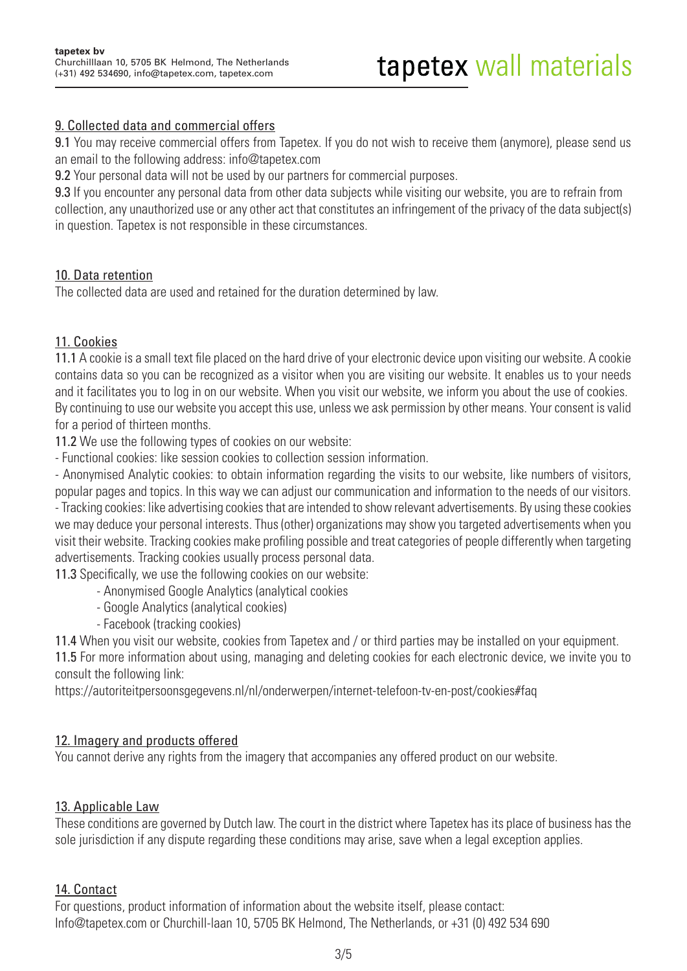### 9. Collected data and commercial offers

9.1 You may receive commercial offers from Tapetex. If you do not wish to receive them (anymore), please send us an email to the following address: info@tapetex.com

9.2 Your personal data will not be used by our partners for commercial purposes.

9.3 If you encounter any personal data from other data subjects while visiting our website, you are to refrain from collection, any unauthorized use or any other act that constitutes an infringement of the privacy of the data subject(s) in question. Tapetex is not responsible in these circumstances.

### 10. Data retention

The collected data are used and retained for the duration determined by law.

# 11. Cookies

11.1 A cookie is a small text file placed on the hard drive of your electronic device upon visiting our website. A cookie contains data so you can be recognized as a visitor when you are visiting our website. It enables us to your needs and it facilitates you to log in on our website. When you visit our website, we inform you about the use of cookies. By continuing to use our website you accept this use, unless we ask permission by other means. Your consent is valid for a period of thirteen months.

11.2 We use the following types of cookies on our website:

- Functional cookies: like session cookies to collection session information.

- Anonymised Analytic cookies: to obtain information regarding the visits to our website, like numbers of visitors, popular pages and topics. In this way we can adjust our communication and information to the needs of our visitors.

- Tracking cookies: like advertising cookies that are intended to show relevant advertisements. By using these cookies we may deduce your personal interests. Thus (other) organizations may show you targeted advertisements when you visit their website. Tracking cookies make profiling possible and treat categories of people differently when targeting advertisements. Tracking cookies usually process personal data.

11.3 Specifically, we use the following cookies on our website:

- Anonymised Google Analytics (analytical cookies
- Google Analytics (analytical cookies)
- Facebook (tracking cookies)

11.4 When you visit our website, cookies from Tapetex and / or third parties may be installed on your equipment.

11.5 For more information about using, managing and deleting cookies for each electronic device, we invite you to consult the following link:

https://autoriteitpersoonsgegevens.nl/nl/onderwerpen/internet-telefoon-tv-en-post/cookies#faq

### 12. Imagery and products offered

You cannot derive any rights from the imagery that accompanies any offered product on our website.

### 13. Applicable Law

These conditions are governed by Dutch law. The court in the district where Tapetex has its place of business has the sole jurisdiction if any dispute regarding these conditions may arise, save when a legal exception applies.

### 14. Contact

For questions, product information of information about the website itself, please contact: Info@tapetex.com or Churchill-laan 10, 5705 BK Helmond, The Netherlands, or +31 (0) 492 534 690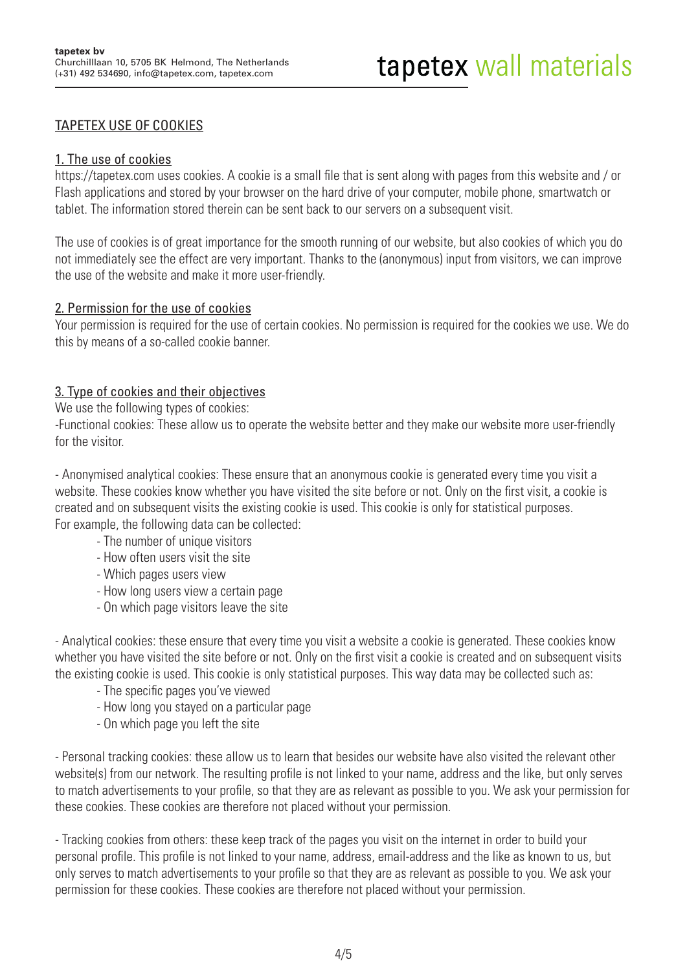### TAPETEX USE OF COOKIES

#### 1. The use of cookies

https://tapetex.com uses cookies. A cookie is a small file that is sent along with pages from this website and / or Flash applications and stored by your browser on the hard drive of your computer, mobile phone, smartwatch or tablet. The information stored therein can be sent back to our servers on a subsequent visit.

The use of cookies is of great importance for the smooth running of our website, but also cookies of which you do not immediately see the effect are very important. Thanks to the (anonymous) input from visitors, we can improve the use of the website and make it more user-friendly.

#### 2. Permission for the use of cookies

Your permission is required for the use of certain cookies. No permission is required for the cookies we use. We do this by means of a so-called cookie banner.

#### 3. Type of cookies and their objectives

We use the following types of cookies:

-Functional cookies: These allow us to operate the website better and they make our website more user-friendly for the visitor.

- Anonymised analytical cookies: These ensure that an anonymous cookie is generated every time you visit a website. These cookies know whether you have visited the site before or not. Only on the first visit, a cookie is created and on subsequent visits the existing cookie is used. This cookie is only for statistical purposes. For example, the following data can be collected:

- The number of unique visitors
- How often users visit the site
- Which pages users view
- How long users view a certain page
- On which page visitors leave the site

- Analytical cookies: these ensure that every time you visit a website a cookie is generated. These cookies know whether you have visited the site before or not. Only on the first visit a cookie is created and on subsequent visits the existing cookie is used. This cookie is only statistical purposes. This way data may be collected such as:

- The specific pages you've viewed
- How long you stayed on a particular page
- On which page you left the site

- Personal tracking cookies: these allow us to learn that besides our website have also visited the relevant other website(s) from our network. The resulting profile is not linked to your name, address and the like, but only serves to match advertisements to your profile, so that they are as relevant as possible to you. We ask your permission for these cookies. These cookies are therefore not placed without your permission.

- Tracking cookies from others: these keep track of the pages you visit on the internet in order to build your personal profile. This profile is not linked to your name, address, email-address and the like as known to us, but only serves to match advertisements to your profile so that they are as relevant as possible to you. We ask your permission for these cookies. These cookies are therefore not placed without your permission.